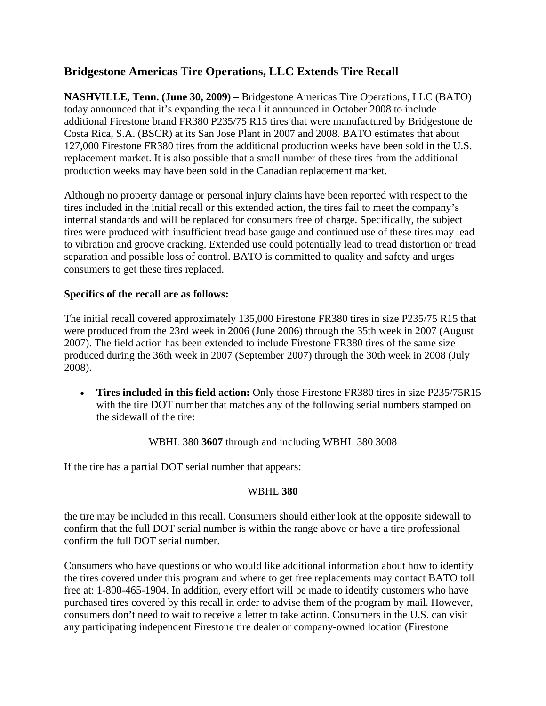## **Bridgestone Americas Tire Operations, LLC Extends Tire Recall**

**NASHVILLE, Tenn. (June 30, 2009) –** Bridgestone Americas Tire Operations, LLC (BATO) today announced that it's expanding the recall it announced in October 2008 to include additional Firestone brand FR380 P235/75 R15 tires that were manufactured by Bridgestone de Costa Rica, S.A. (BSCR) at its San Jose Plant in 2007 and 2008. BATO estimates that about 127,000 Firestone FR380 tires from the additional production weeks have been sold in the U.S. replacement market. It is also possible that a small number of these tires from the additional production weeks may have been sold in the Canadian replacement market.

Although no property damage or personal injury claims have been reported with respect to the tires included in the initial recall or this extended action, the tires fail to meet the company's internal standards and will be replaced for consumers free of charge. Specifically, the subject tires were produced with insufficient tread base gauge and continued use of these tires may lead to vibration and groove cracking. Extended use could potentially lead to tread distortion or tread separation and possible loss of control. BATO is committed to quality and safety and urges consumers to get these tires replaced.

## **Specifics of the recall are as follows:**

The initial recall covered approximately 135,000 Firestone FR380 tires in size P235/75 R15 that were produced from the 23rd week in 2006 (June 2006) through the 35th week in 2007 (August 2007). The field action has been extended to include Firestone FR380 tires of the same size produced during the 36th week in 2007 (September 2007) through the 30th week in 2008 (July 2008).

• **Tires included in this field action:** Only those Firestone FR380 tires in size P235/75R15 with the tire DOT number that matches any of the following serial numbers stamped on the sidewall of the tire:

WBHL 380 **3607** through and including WBHL 380 3008

If the tire has a partial DOT serial number that appears:

## WBHL **380**

the tire may be included in this recall. Consumers should either look at the opposite sidewall to confirm that the full DOT serial number is within the range above or have a tire professional confirm the full DOT serial number.

Consumers who have questions or who would like additional information about how to identify the tires covered under this program and where to get free replacements may contact BATO toll free at: 1-800-465-1904. In addition, every effort will be made to identify customers who have purchased tires covered by this recall in order to advise them of the program by mail. However, consumers don't need to wait to receive a letter to take action. Consumers in the U.S. can visit any participating independent Firestone tire dealer or company-owned location (Firestone